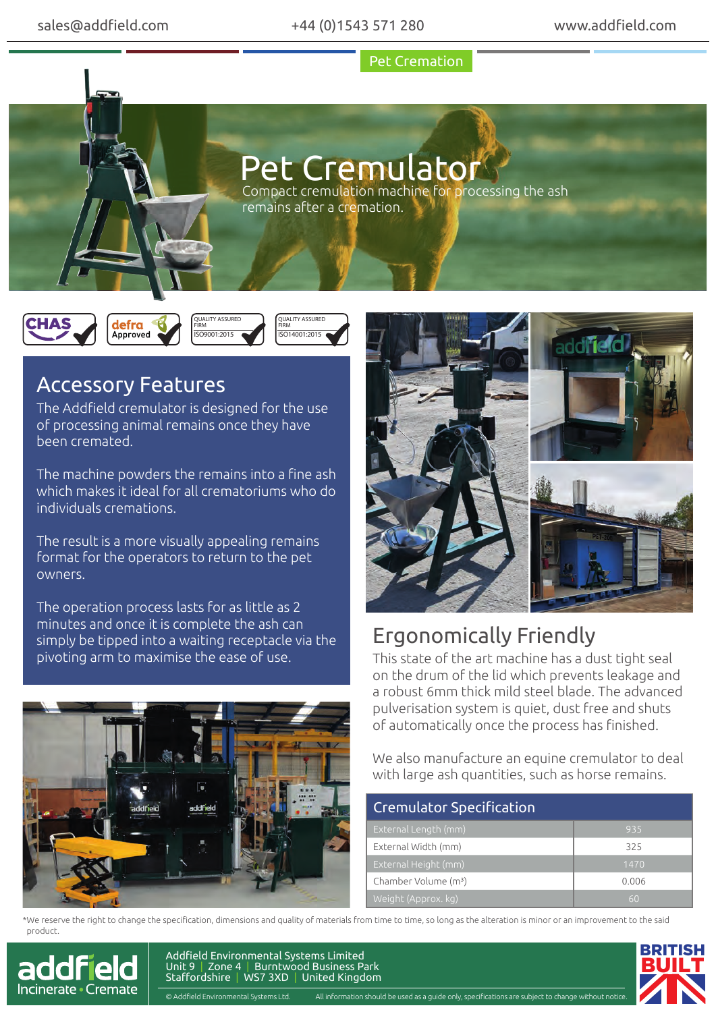Pet Cremation

## Pet Cremulator

Compact cremulation machine for processing the ash remains after a cremation.







## Accessory Features

The Addfield cremulator is designed for the use of processing animal remains once they have been cremated.

The machine powders the remains into a fine ash which makes it ideal for all crematoriums who do individuals cremations.

The result is a more visually appealing remains format for the operators to return to the pet owners.

The operation process lasts for as little as 2 minutes and once it is complete the ash can simply be tipped into a waiting receptacle via the pivoting arm to maximise the ease of use.



## Ergonomically Friendly

This state of the art machine has a dust tight seal on the drum of the lid which prevents leakage and a robust 6mm thick mild steel blade. The advanced pulverisation system is quiet, dust free and shuts of automatically once the process has finished.

We also manufacture an equine cremulator to deal with large ash quantities, such as horse remains.

| <b>Cremulator Specification</b>  |       |
|----------------------------------|-------|
| External Length (mm)             | 935   |
| External Width (mm)              | 325   |
| External Height (mm)             | 1470  |
| Chamber Volume (m <sup>3</sup> ) | 0.006 |
| Weight (Approx. kg)              | 60    |

\*We reserve the right to change the specification, dimensions and quality of materials from time to time, so long as the alteration is minor or an improvement to the said product.



Addfield Environmental Systems Limited Unit 9 | Zone 4 | Burntwood Business Park Staffordshire | WS7 3XD | United Kingdom

© Addfield Environmental Systems Ltd. All information should be used as a guide only, specifications and